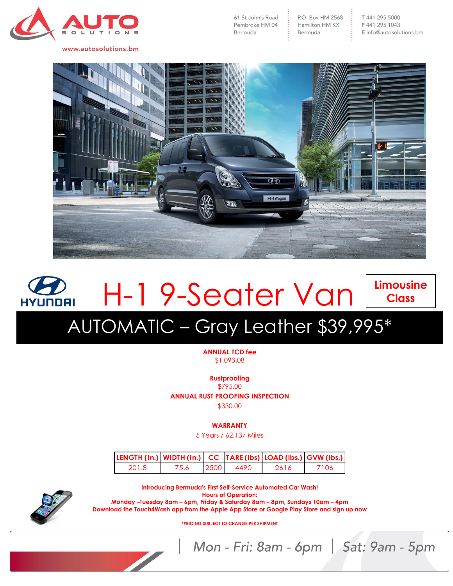

www.autosolutions.bm

P.O. Box HM 2568 Hamilton HM KX Bermuda



## **Limousine** H-1 9-Seater Van **Class HYUNDAI** AUTOMATIC – Gray Leather \$39,995\*

**ANNUAL TCD fee** \$1,093.08

**Rustproofing**

\$795.00 **ANNUAL RUST PROOFING INSPECTION**

\$330.00

**WARRANTY**

5 Years / 62,137 Miles

| $ LENGTH (In.)   WIDTH (In.)   CC   IARE (Ibs)   LOAD (Ibs.)   GVW (Ibs.)$ |      |      |      |      |      |
|----------------------------------------------------------------------------|------|------|------|------|------|
| 201.8                                                                      | 75.6 | 2500 | 4490 | 2616 | 7106 |



**Introducing Bermuda's First Self-Service Automated Car Wash! Hours of Operation: Monday –Tuesday 8am – 6pm, Friday & Saturday 8am – 8pm, Sundays 10am – 4pm Download the Touch4Wash app from the Apple App Store or Google Play Store and sign up now**

**\*PRICING SUBJECT TO CHANGE PER SHIPMENT**

Mon - Fri: 8am - 6pm | Sat: 9am - 5pm